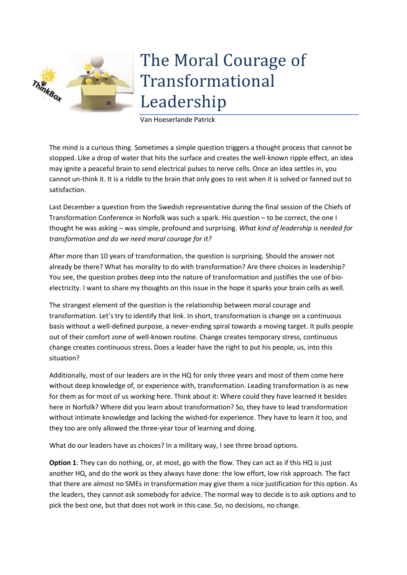## The Moral Courage of Transformational Leadership

Van Hoeserlande Patrick

ThinkBox

**TITUL** 

The mind is a curious thing. Sometimes a simple question triggers a thought process that cannot be stopped. Like a drop of water that hits the surface and creates the well-known ripple effect, an idea may ignite a peaceful brain to send electrical pulses to nerve cells. Once an idea settles in, you cannot un-think it. It is a riddle to the brain that only goes to rest when it is solved or fanned out to satisfaction.

Last December a question from the Swedish representative during the final session of the Chiefs of Transformation Conference in Norfolk was such a spark. His question – to be correct, the one I thought he was asking – was simple, profound and surprising. *What kind of leadership is needed for transformation and do we need moral courage for it?*

After more than 10 years of transformation, the question is surprising. Should the answer not already be there? What has morality to do with transformation? Are there choices in leadership? You see, the question probes deep into the nature of transformation and justifies the use of bioelectricity. I want to share my thoughts on this issue in the hope it sparks your brain cells as well.

The strangest element of the question is the relationship between moral courage and transformation. Let's try to identify that link. In short, transformation is change on a continuous basis without a well-defined purpose, a never-ending spiral towards a moving target. It pulls people out of their comfort zone of well-known routine. Change creates temporary stress, continuous change creates continuous stress. Does a leader have the right to put his people, us, into this situation?

Additionally, most of our leaders are in the HQ for only three years and most of them come here without deep knowledge of, or experience with, transformation. Leading transformation is as new for them as for most of us working here. Think about it: Where could they have learned it besides here in Norfolk? Where did you learn about transformation? So, they have to lead transformation without intimate knowledge and lacking the wished-for experience. They have to learn it too, and they too are only allowed the three-year tour of learning and doing.

What do our leaders have as choices? In a military way, I see three broad options.

**Option 1**: They can do nothing, or, at most, go with the flow. They can act as if this HQ is just another HQ, and do the work as they always have done: the low effort, low risk approach. The fact that there are almost no SMEs in transformation may give them a nice justification for this option. As the leaders, they cannot ask somebody for advice. The normal way to decide is to ask options and to pick the best one, but that does not work in this case. So, no decisions, no change.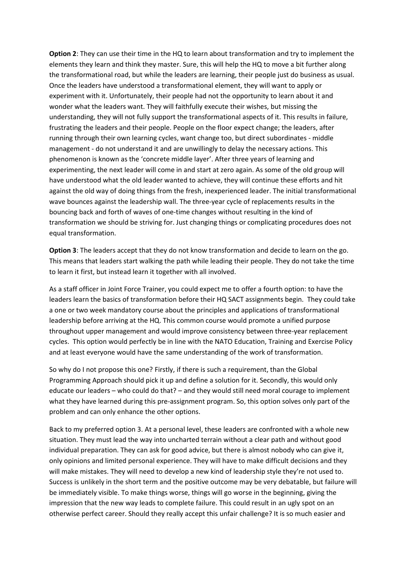**Option 2**: They can use their time in the HQ to learn about transformation and try to implement the elements they learn and think they master. Sure, this will help the HQ to move a bit further along the transformational road, but while the leaders are learning, their people just do business as usual. Once the leaders have understood a transformational element, they will want to apply or experiment with it. Unfortunately, their people had not the opportunity to learn about it and wonder what the leaders want. They will faithfully execute their wishes, but missing the understanding, they will not fully support the transformational aspects of it. This results in failure, frustrating the leaders and their people. People on the floor expect change; the leaders, after running through their own learning cycles, want change too, but direct subordinates - middle management - do not understand it and are unwillingly to delay the necessary actions. This phenomenon is known as the 'concrete middle layer'. After three years of learning and experimenting, the next leader will come in and start at zero again. As some of the old group will have understood what the old leader wanted to achieve, they will continue these efforts and hit against the old way of doing things from the fresh, inexperienced leader. The initial transformational wave bounces against the leadership wall. The three-year cycle of replacements results in the bouncing back and forth of waves of one-time changes without resulting in the kind of transformation we should be striving for. Just changing things or complicating procedures does not equal transformation.

**Option 3**: The leaders accept that they do not know transformation and decide to learn on the go. This means that leaders start walking the path while leading their people. They do not take the time to learn it first, but instead learn it together with all involved.

As a staff officer in Joint Force Trainer, you could expect me to offer a fourth option: to have the leaders learn the basics of transformation before their HQ SACT assignments begin. They could take a one or two week mandatory course about the principles and applications of transformational leadership before arriving at the HQ. This common course would promote a unified purpose throughout upper management and would improve consistency between three-year replacement cycles. This option would perfectly be in line with the NATO Education, Training and Exercise Policy and at least everyone would have the same understanding of the work of transformation.

So why do I not propose this one? Firstly, if there is such a requirement, than the Global Programming Approach should pick it up and define a solution for it. Secondly, this would only educate our leaders – who could do that? – and they would still need moral courage to implement what they have learned during this pre-assignment program. So, this option solves only part of the problem and can only enhance the other options.

Back to my preferred option 3. At a personal level, these leaders are confronted with a whole new situation. They must lead the way into uncharted terrain without a clear path and without good individual preparation. They can ask for good advice, but there is almost nobody who can give it, only opinions and limited personal experience. They will have to make difficult decisions and they will make mistakes. They will need to develop a new kind of leadership style they're not used to. Success is unlikely in the short term and the positive outcome may be very debatable, but failure will be immediately visible. To make things worse, things will go worse in the beginning, giving the impression that the new way leads to complete failure. This could result in an ugly spot on an otherwise perfect career. Should they really accept this unfair challenge? It is so much easier and